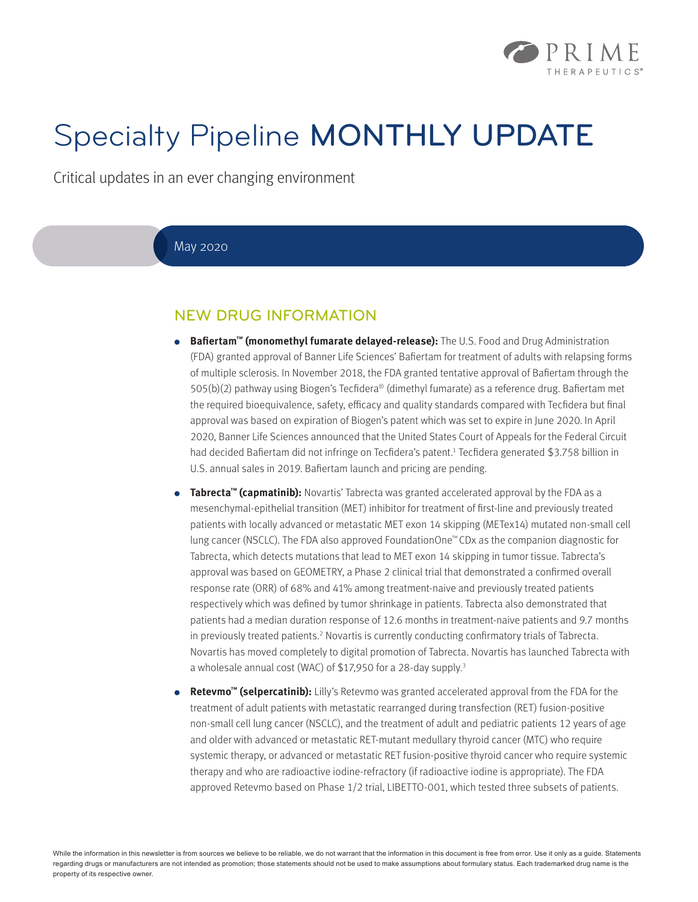

# Specialty Pipeline MONTHLY UPDATE

Critical updates in an ever changing environment

#### May 2020

## NEW DRUG INFORMATION

- **● Bafiertam™ (monomethyl fumarate delayed-release):** The U.S. Food and Drug Administration (FDA) granted approval of Banner Life Sciences' Bafiertam for treatment of adults with relapsing forms of multiple sclerosis. In November 2018, the FDA granted tentative approval of Bafiertam through the 505(b)(2) pathway using Biogen's Tecfidera® (dimethyl fumarate) as a reference drug. Bafiertam met the required bioequivalence, safety, efficacy and quality standards compared with Tecfidera but final approval was based on expiration of Biogen's patent which was set to expire in June 2020. In April 2020, Banner Life Sciences announced that the United States Court of Appeals for the Federal Circuit had decided Bafiertam did not infringe on Tecfidera's patent.1 Tecfidera generated \$3.758 billion in U.S. annual sales in 2019. Bafiertam launch and pricing are pending.
- **Tabrecta™ (capmatinib):** Novartis' Tabrecta was granted accelerated approval by the FDA as a mesenchymal-epithelial transition (MET) inhibitor for treatment of first-line and previously treated patients with locally advanced or metastatic MET exon 14 skipping (METex14) mutated non-small cell lung cancer (NSCLC). The FDA also approved FoundationOne™ CDx as the companion diagnostic for Tabrecta, which detects mutations that lead to MET exon 14 skipping in tumor tissue. Tabrecta's approval was based on GEOMETRY, a Phase 2 clinical trial that demonstrated a confirmed overall response rate (ORR) of 68% and 41% among treatment-naive and previously treated patients respectively which was defined by tumor shrinkage in patients. Tabrecta also demonstrated that patients had a median duration response of 12.6 months in treatment-naive patients and 9.7 months in previously treated patients.<sup>2</sup> Novartis is currently conducting confirmatory trials of Tabrecta. Novartis has moved completely to digital promotion of Tabrecta. Novartis has launched Tabrecta with a wholesale annual cost (WAC) of \$17,950 for a 28-day supply.<sup>3</sup>
- **Retevmo™ (selpercatinib):** Lilly's Retevmo was granted accelerated approval from the FDA for the treatment of adult patients with metastatic rearranged during transfection (RET) fusion-positive non-small cell lung cancer (NSCLC), and the treatment of adult and pediatric patients 12 years of age and older with advanced or metastatic RET-mutant medullary thyroid cancer (MTC) who require systemic therapy, or advanced or metastatic RET fusion-positive thyroid cancer who require systemic therapy and who are radioactive iodine-refractory (if radioactive iodine is appropriate). The FDA approved Retevmo based on Phase 1/2 trial, LIBETTO-001, which tested three subsets of patients.

While the information in this newsletter is from sources we believe to be reliable, we do not warrant that the information in this document is free from error. Use it only as a guide. Statements regarding drugs or manufacturers are not intended as promotion; those statements should not be used to make assumptions about formulary status. Each trademarked drug name is the property of its respective owner.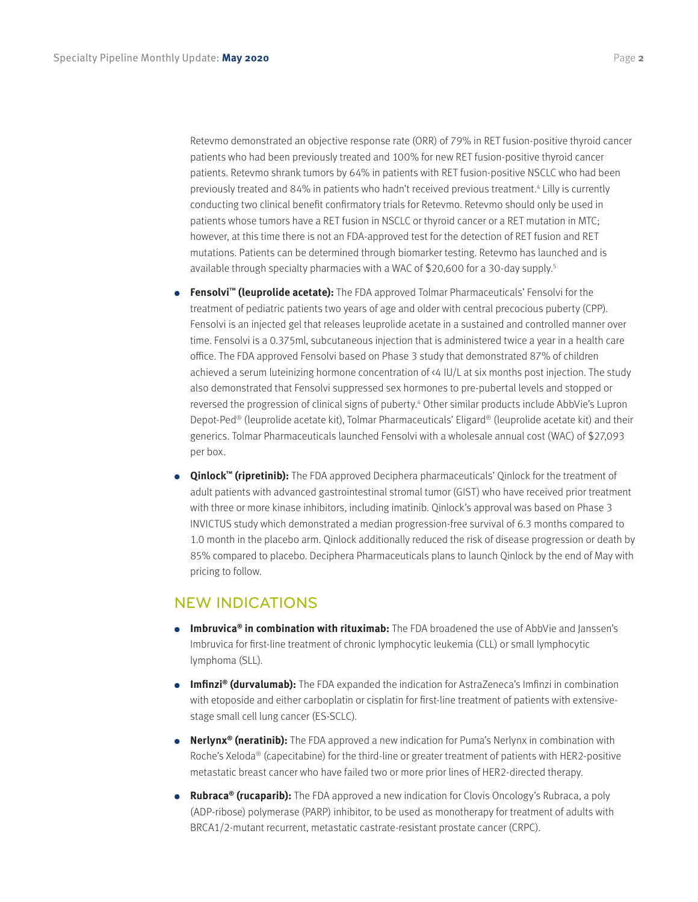Retevmo demonstrated an objective response rate (ORR) of 79% in RET fusion-positive thyroid cancer patients who had been previously treated and 100% for new RET fusion-positive thyroid cancer patients. Retevmo shrank tumors by 64% in patients with RET fusion-positive NSCLC who had been previously treated and 84% in patients who hadn't received previous treatment.4 Lilly is currently conducting two clinical benefit confirmatory trials for Retevmo. Retevmo should only be used in patients whose tumors have a RET fusion in NSCLC or thyroid cancer or a RET mutation in MTC; however, at this time there is not an FDA-approved test for the detection of RET fusion and RET mutations. Patients can be determined through biomarker testing. Retevmo has launched and is available through specialty pharmacies with a WAC of \$20,600 for a 30-day supply.<sup>5</sup>

- **● Fensolvi™ (leuprolide acetate):** The FDA approved Tolmar Pharmaceuticals' Fensolvi for the treatment of pediatric patients two years of age and older with central precocious puberty (CPP). Fensolvi is an injected gel that releases leuprolide acetate in a sustained and controlled manner over time. Fensolvi is a 0.375ml, subcutaneous injection that is administered twice a year in a health care office. The FDA approved Fensolvi based on Phase 3 study that demonstrated 87% of children achieved a serum luteinizing hormone concentration of <4 IU/L at six months post injection. The study also demonstrated that Fensolvi suppressed sex hormones to pre-pubertal levels and stopped or reversed the progression of clinical signs of puberty.<sup>4</sup> Other similar products include AbbVie's Lupron Depot-Ped® (leuprolide acetate kit), Tolmar Pharmaceuticals' Eligard® (leuprolide acetate kit) and their generics. Tolmar Pharmaceuticals launched Fensolvi with a wholesale annual cost (WAC) of \$27,093 per box.
- **● Qinlock™ (ripretinib):** The FDA approved Deciphera pharmaceuticals' Qinlock for the treatment of adult patients with advanced gastrointestinal stromal tumor (GIST) who have received prior treatment with three or more kinase inhibitors, including imatinib. Qinlock's approval was based on Phase 3 INVICTUS study which demonstrated a median progression-free survival of 6.3 months compared to 1.0 month in the placebo arm. Qinlock additionally reduced the risk of disease progression or death by 85% compared to placebo. Deciphera Pharmaceuticals plans to launch Qinlock by the end of May with pricing to follow.

### NEW INDICATIONS

- **● Imbruvica® in combination with rituximab:** The FDA broadened the use of AbbVie and Janssen's Imbruvica for first-line treatment of chronic lymphocytic leukemia (CLL) or small lymphocytic lymphoma (SLL).
- **● Imfinzi® (durvalumab):** The FDA expanded the indication for AstraZeneca's Imfinzi in combination with etoposide and either carboplatin or cisplatin for first-line treatment of patients with extensivestage small cell lung cancer (ES-SCLC).
- **● Nerlynx® (neratinib):** The FDA approved a new indication for Puma's Nerlynx in combination with Roche's Xeloda® (capecitabine) for the third-line or greater treatment of patients with HER2-positive metastatic breast cancer who have failed two or more prior lines of HER2-directed therapy.
- **● Rubraca® (rucaparib):** The FDA approved a new indication for Clovis Oncology's Rubraca, a poly (ADP-ribose) polymerase (PARP) inhibitor, to be used as monotherapy for treatment of adults with BRCA1/2-mutant recurrent, metastatic castrate-resistant prostate cancer (CRPC).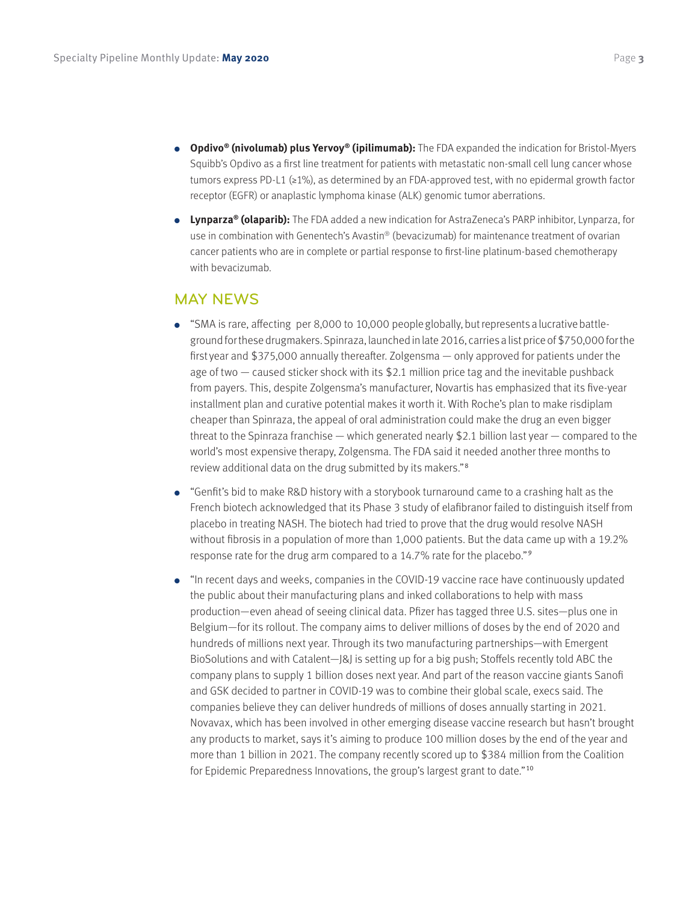- **● Opdivo® (nivolumab) plus Yervoy® (ipilimumab):** The FDA expanded the indication for Bristol-Myers Squibb's Opdivo as a first line treatment for patients with metastatic non-small cell lung cancer whose tumors express PD-L1 (≥1%), as determined by an FDA-approved test, with no epidermal growth factor receptor (EGFR) or anaplastic lymphoma kinase (ALK) genomic tumor aberrations.
- **● Lynparza® (olaparib):** The FDA added a new indication for AstraZeneca's PARP inhibitor, Lynparza, for use in combination with Genentech's Avastin® (bevacizumab) for maintenance treatment of ovarian cancer patients who are in complete or partial response to first-line platinum-based chemotherapy with bevacizumab.

#### MAY NEWS

- "SMA is rare, affecting per 8,000 to 10,000 people globally, but represents a lucrative battleground for these drugmakers. Spinraza, launched in late 2016, carries a list price of \$750,000 for the first year and \$375,000 annually thereafter. Zolgensma — only approved for patients under the age of two — caused sticker shock with its \$2.1 million price tag and the inevitable pushback from payers. This, despite Zolgensma's manufacturer, Novartis has emphasized that its five-year installment plan and curative potential makes it worth it. With Roche's plan to make risdiplam cheaper than Spinraza, the appeal of oral administration could make the drug an even bigger threat to the Spinraza franchise — which generated nearly \$2.1 billion last year — compared to the world's most expensive therapy, Zolgensma. The FDA said it needed another three months to review additional data on the drug submitted by its makers."<sup>8</sup>
- **●** "Genfit's bid to make R&D history with a storybook turnaround came to a crashing halt as the French biotech acknowledged that its Phase 3 study of elafibranor failed to distinguish itself from placebo in treating NASH. The biotech had tried to prove that the drug would resolve NASH without fibrosis in a population of more than 1,000 patients. But the data came up with a 19.2% response rate for the drug arm compared to a 14.7% rate for the placebo."<sup>9</sup>
- **●** "In recent days and weeks, companies in the COVID-19 vaccine race have continuously updated the public about their manufacturing plans and inked collaborations to help with mass production—even ahead of seeing clinical data. Pfizer has tagged three U.S. sites—plus one in Belgium—for its rollout. The company aims to deliver millions of doses by the end of 2020 and hundreds of millions next year. Through its two manufacturing partnerships—with Emergent BioSolutions and with Catalent—J&J is setting up for a big push; Stoffels recently told ABC the company plans to supply 1 billion doses next year. And part of the reason vaccine giants Sanofi and GSK decided to partner in COVID-19 was to combine their global scale, execs said. The companies believe they can deliver hundreds of millions of doses annually starting in 2021. Novavax, which has been involved in other emerging disease vaccine research but hasn't brought any products to market, says it's aiming to produce 100 million doses by the end of the year and more than 1 billion in 2021. The company recently scored up to \$384 million from the Coalition for Epidemic Preparedness Innovations, the group's largest grant to date."10